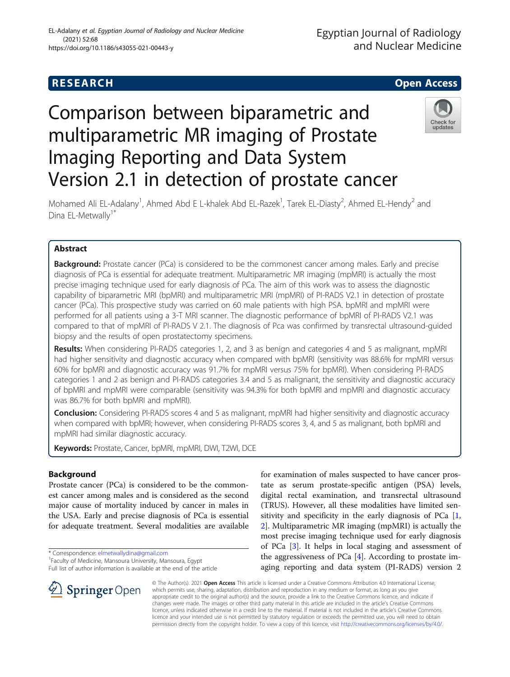# **RESEARCH CHE Open Access**

# Comparison between biparametric and multiparametric MR imaging of Prostate Imaging Reporting and Data System Version 2.1 in detection of prostate cancer



Mohamed Ali EL-Adalany<sup>1</sup>, Ahmed Abd E L-khalek Abd EL-Razek<sup>1</sup>, Tarek EL-Diasty<sup>2</sup>, Ahmed EL-Hendy<sup>2</sup> and Dina EL-Metwally<sup>1\*</sup>

# Abstract

**Background:** Prostate cancer (PCa) is considered to be the commonest cancer among males. Early and precise diagnosis of PCa is essential for adequate treatment. Multiparametric MR imaging (mpMRI) is actually the most precise imaging technique used for early diagnosis of PCa. The aim of this work was to assess the diagnostic capability of biparametric MRI (bpMRI) and multiparametric MRI (mpMRI) of PI-RADS V2.1 in detection of prostate cancer (PCa). This prospective study was carried on 60 male patients with high PSA. bpMRI and mpMRI were performed for all patients using a 3-T MRI scanner. The diagnostic performance of bpMRI of PI-RADS V2.1 was compared to that of mpMRI of PI-RADS V 2.1. The diagnosis of Pca was confirmed by transrectal ultrasound-guided biopsy and the results of open prostatectomy specimens.

Results: When considering PI-RADS categories 1, 2, and 3 as benign and categories 4 and 5 as malignant, mpMRI had higher sensitivity and diagnostic accuracy when compared with bpMRI (sensitivity was 88.6% for mpMRI versus 60% for bpMRI and diagnostic accuracy was 91.7% for mpMRI versus 75% for bpMRI). When considering PI-RADS categories 1 and 2 as benign and PI-RADS categories 3.4 and 5 as malignant, the sensitivity and diagnostic accuracy of bpMRI and mpMRI were comparable (sensitivity was 94.3% for both bpMRI and mpMRI and diagnostic accuracy was 86.7% for both bpMRI and mpMRI).

**Conclusion:** Considering PI-RADS scores 4 and 5 as malignant, mpMRI had higher sensitivity and diagnostic accuracy when compared with bpMRI; however, when considering PI-RADS scores 3, 4, and 5 as malignant, both bpMRI and mpMRI had similar diagnostic accuracy.

Keywords: Prostate, Cancer, bpMRI, mpMRI, DWI, T2WI, DCE

# Background

Prostate cancer (PCa) is considered to be the commonest cancer among males and is considered as the second major cause of mortality induced by cancer in males in the USA. Early and precise diagnosis of PCa is essential for adequate treatment. Several modalities are available

\* Correspondence: [elmetwallydina@gmail.com](mailto:elmetwallydina@gmail.com) <sup>1</sup>

SpringerOpen

Full list of author information is available at the end of the article

for examination of males suspected to have cancer prostate as serum prostate-specific antigen (PSA) levels, digital rectal examination, and transrectal ultrasound (TRUS). However, all these modalities have limited sensitivity and specificity in the early diagnosis of PCa [[1](#page-6-0), [2\]](#page-6-0). Multiparametric MR imaging (mpMRI) is actually the most precise imaging technique used for early diagnosis of PCa [\[3](#page-6-0)]. It helps in local staging and assessment of the aggressiveness of PCa [[4\]](#page-6-0). According to prostate imaging reporting and data system (PI-RADS) version 2

© The Author(s). 2021 Open Access This article is licensed under a Creative Commons Attribution 4.0 International License, which permits use, sharing, adaptation, distribution and reproduction in any medium or format, as long as you give appropriate credit to the original author(s) and the source, provide a link to the Creative Commons licence, and indicate if changes were made. The images or other third party material in this article are included in the article's Creative Commons licence, unless indicated otherwise in a credit line to the material. If material is not included in the article's Creative Commons licence and your intended use is not permitted by statutory regulation or exceeds the permitted use, you will need to obtain permission directly from the copyright holder. To view a copy of this licence, visit <http://creativecommons.org/licenses/by/4.0/>.

Faculty of Medicine, Mansoura University, Mansoura, Egypt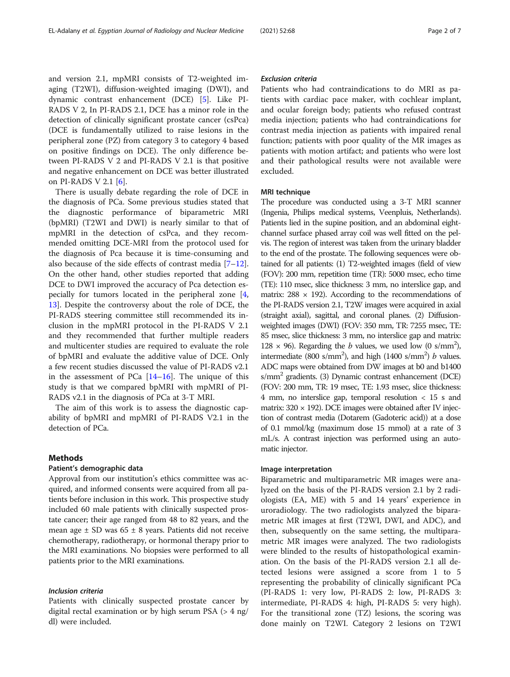and version 2.1, mpMRI consists of T2-weighted imaging (T2WI), diffusion-weighted imaging (DWI), and dynamic contrast enhancement (DCE) [\[5](#page-6-0)]. Like PI-RADS V 2, In PI-RADS 2.1, DCE has a minor role in the detection of clinically significant prostate cancer (csPca) (DCE is fundamentally utilized to raise lesions in the peripheral zone (PZ) from category 3 to category 4 based on positive findings on DCE). The only difference between PI-RADS V 2 and PI-RADS V 2.1 is that positive and negative enhancement on DCE was better illustrated on PI-RADS V 2.1 [\[6](#page-6-0)].

There is usually debate regarding the role of DCE in the diagnosis of PCa. Some previous studies stated that the diagnostic performance of biparametric MRI (bpMRI) (T2WI and DWI) is nearly similar to that of mpMRI in the detection of csPca, and they recommended omitting DCE-MRI from the protocol used for the diagnosis of Pca because it is time-consuming and also because of the side effects of contrast media  $[7-12]$  $[7-12]$  $[7-12]$  $[7-12]$  $[7-12]$ . On the other hand, other studies reported that adding DCE to DWI improved the accuracy of Pca detection especially for tumors located in the peripheral zone [\[4](#page-6-0), [13\]](#page-6-0). Despite the controversy about the role of DCE, the PI-RADS steering committee still recommended its inclusion in the mpMRI protocol in the PI-RADS V 2.1 and they recommended that further multiple readers and multicenter studies are required to evaluate the role of bpMRI and evaluate the additive value of DCE. Only a few recent studies discussed the value of PI-RADS v2.1 in the assessment of PCa  $[14–16]$  $[14–16]$  $[14–16]$  $[14–16]$  $[14–16]$ . The unique of this study is that we compared bpMRI with mpMRI of PI-RADS v2.1 in the diagnosis of PCa at 3-T MRI.

The aim of this work is to assess the diagnostic capability of bpMRI and mpMRI of PI-RADS V2.1 in the detection of PCa.

#### Methods

### Patient's demographic data

Approval from our institution's ethics committee was acquired, and informed consents were acquired from all patients before inclusion in this work. This prospective study included 60 male patients with clinically suspected prostate cancer; their age ranged from 48 to 82 years, and the mean age  $\pm$  SD was 65  $\pm$  8 years. Patients did not receive chemotherapy, radiotherapy, or hormonal therapy prior to the MRI examinations. No biopsies were performed to all patients prior to the MRI examinations.

#### Inclusion criteria

Patients with clinically suspected prostate cancer by digital rectal examination or by high serum PSA (> 4 ng/ dl) were included.

#### Exclusion criteria

Patients who had contraindications to do MRI as patients with cardiac pace maker, with cochlear implant, and ocular foreign body; patients who refused contrast media injection; patients who had contraindications for contrast media injection as patients with impaired renal function; patients with poor quality of the MR images as patients with motion artifact; and patients who were lost and their pathological results were not available were excluded.

#### MRI technique

The procedure was conducted using a 3-T MRI scanner (Ingenia, Philips medical systems, Veenpluis, Netherlands). Patients lied in the supine position, and an abdominal eightchannel surface phased array coil was well fitted on the pelvis. The region of interest was taken from the urinary bladder to the end of the prostate. The following sequences were obtained for all patients: (1) T2-weighted images (field of view (FOV): 200 mm, repetition time (TR): 5000 msec, echo time (TE): 110 msec, slice thickness: 3 mm, no interslice gap, and matrix:  $288 \times 192$ ). According to the recommendations of the PI-RADS version 2.1, T2W images were acquired in axial (straight axial), sagittal, and coronal planes. (2) Diffusionweighted images (DWI) (FOV: 350 mm, TR: 7255 msec, TE: 85 msec, slice thickness: 3 mm, no interslice gap and matrix: 128  $\times$  96). Regarding the *b* values, we used low (0 s/mm<sup>2</sup>), intermediate (800 s/mm<sup>2</sup>), and high (1400 s/mm<sup>2</sup>) *b* values. ADC maps were obtained from DW images at b0 and b1400  $s/mm^2$  gradients. (3) Dynamic contrast enhancement (DCE) (FOV: 200 mm, TR: 19 msec, TE: 1.93 msec, slice thickness: 4 mm, no interslice gap, temporal resolution < 15 s and matrix:  $320 \times 192$ ). DCE images were obtained after IV injection of contrast media (Dotarem (Gadoteric acid)) at a dose of 0.1 mmol/kg (maximum dose 15 mmol) at a rate of 3 mL/s. A contrast injection was performed using an automatic injector.

#### Image interpretation

Biparametric and multiparametric MR images were analyzed on the basis of the PI-RADS version 2.1 by 2 radiologists (EA, ME) with 5 and 14 years' experience in uroradiology. The two radiologists analyzed the biparametric MR images at first (T2WI, DWI, and ADC), and then, subsequently on the same setting, the multiparametric MR images were analyzed. The two radiologists were blinded to the results of histopathological examination. On the basis of the PI-RADS version 2.1 all detected lesions were assigned a score from 1 to 5 representing the probability of clinically significant PCa (PI-RADS 1: very low, PI-RADS 2: low, PI-RADS 3: intermediate, PI-RADS 4: high, PI-RADS 5: very high). For the transitional zone (TZ) lesions, the scoring was done mainly on T2WI. Category 2 lesions on T2WI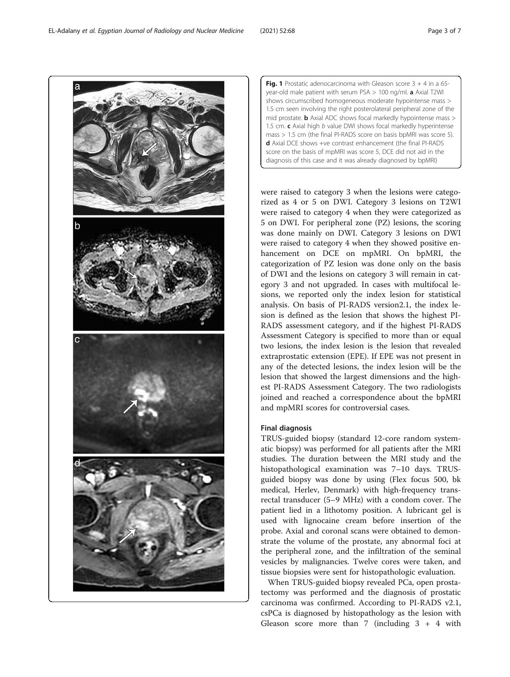were raised to category 3 when the lesions were categorized as 4 or 5 on DWI. Category 3 lesions on T2WI were raised to category 4 when they were categorized as 5 on DWI. For peripheral zone (PZ) lesions, the scoring was done mainly on DWI. Category 3 lesions on DWI were raised to category 4 when they showed positive enhancement on DCE on mpMRI. On bpMRI, the categorization of PZ lesion was done only on the basis of DWI and the lesions on category 3 will remain in category 3 and not upgraded. In cases with multifocal lesions, we reported only the index lesion for statistical analysis. On basis of PI-RADS version2.1, the index lesion is defined as the lesion that shows the highest PI-RADS assessment category, and if the highest PI-RADS Assessment Category is specified to more than or equal two lesions, the index lesion is the lesion that revealed extraprostatic extension (EPE). If EPE was not present in any of the detected lesions, the index lesion will be the lesion that showed the largest dimensions and the highest PI-RADS Assessment Category. The two radiologists joined and reached a correspondence about the bpMRI and mpMRI scores for controversial cases.

#### Final diagnosis

TRUS-guided biopsy (standard 12-core random systematic biopsy) was performed for all patients after the MRI studies. The duration between the MRI study and the histopathological examination was 7–10 days. TRUSguided biopsy was done by using (Flex focus 500, bk medical, Herlev, Denmark) with high-frequency transrectal transducer (5–9 MHz) with a condom cover. The patient lied in a lithotomy position. A lubricant gel is used with lignocaine cream before insertion of the probe. Axial and coronal scans were obtained to demonstrate the volume of the prostate, any abnormal foci at the peripheral zone, and the infiltration of the seminal vesicles by malignancies. Twelve cores were taken, and tissue biopsies were sent for histopathologic evaluation.

When TRUS-guided biopsy revealed PCa, open prostatectomy was performed and the diagnosis of prostatic carcinoma was confirmed. According to PI-RADS v2.1, csPCa is diagnosed by histopathology as the lesion with Gleason score more than 7 (including  $3 + 4$  with

<span id="page-2-0"></span>

**Fig. 1** Prostatic adenocarcinoma with Gleason score  $3 + 4$  in a 65year-old male patient with serum PSA > 100 ng/ml. a Axial T2WI shows circumscribed homogeneous moderate hypointense mass > 1.5 cm seen involving the right posterolateral peripheral zone of the mid prostate. **b** Axial ADC shows focal markedly hypointense mass > 1.5 cm.  $c$  Axial high  $b$  value DWI shows focal markedly hyperintense mass > 1.5 cm (the final PI-RADS score on basis bpMRI was score 5). d Axial DCE shows +ve contrast enhancement (the final PI-RADS score on the basis of mpMRI was score 5, DCE did not aid in the diagnosis of this case and it was already diagnosed by bpMRI)

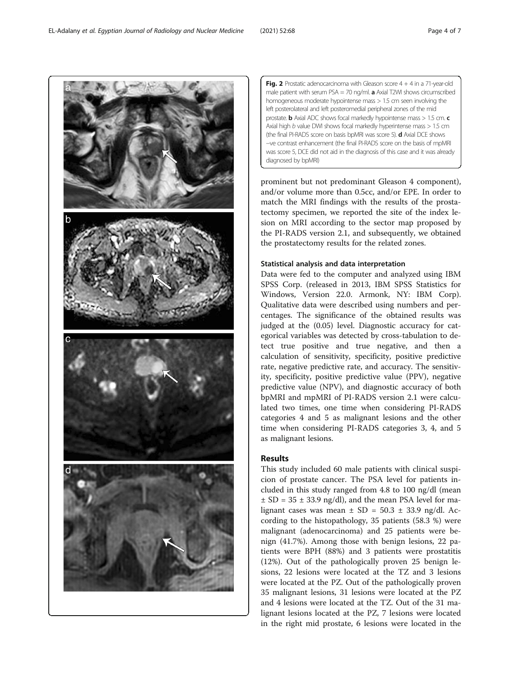prominent but not predominant Gleason 4 component), and/or volume more than 0.5cc, and/or EPE. In order to match the MRI findings with the results of the prostatectomy specimen, we reported the site of the index lesion on MRI according to the sector map proposed by the PI-RADS version 2.1, and subsequently, we obtained the prostatectomy results for the related zones.

**Fig. 2** Prostatic adenocarcinoma with Gleason score  $4 + 4$  in a 71-year-old male patient with serum  $PSA = 70$  ng/ml. **a** Axial T2WI shows circumscribed homogeneous moderate hypointense mass > 1.5 cm seen involving the left posterolateral and left posteromedial peripheral zones of the mid prostate. **b** Axial ADC shows focal markedly hypointense mass  $> 1.5$  cm. **c** Axial high  $b$  value DWI shows focal markedly hyperintense mass  $> 1.5$  cm (the final PI-RADS score on basis bpMRI was score 5). **d** Axial DCE shows −ve contrast enhancement (the final PI-RADS score on the basis of mpMRI was score 5, DCE did not aid in the diagnosis of this case and it was already

#### Statistical analysis and data interpretation

diagnosed by bpMRI)

Data were fed to the computer and analyzed using IBM SPSS Corp. (released in 2013, IBM SPSS Statistics for Windows, Version 22.0. Armonk, NY: IBM Corp). Qualitative data were described using numbers and percentages. The significance of the obtained results was judged at the (0.05) level. Diagnostic accuracy for categorical variables was detected by cross-tabulation to detect true positive and true negative, and then a calculation of sensitivity, specificity, positive predictive rate, negative predictive rate, and accuracy. The sensitivity, specificity, positive predictive value (PPV), negative predictive value (NPV), and diagnostic accuracy of both bpMRI and mpMRI of PI-RADS version 2.1 were calculated two times, one time when considering PI-RADS categories 4 and 5 as malignant lesions and the other time when considering PI-RADS categories 3, 4, and 5 as malignant lesions.

## Results

This study included 60 male patients with clinical suspicion of prostate cancer. The PSA level for patients included in this study ranged from 4.8 to 100 ng/dl (mean  $\pm$  SD = 35  $\pm$  33.9 ng/dl), and the mean PSA level for malignant cases was mean  $\pm$  SD = 50.3  $\pm$  33.9 ng/dl. According to the histopathology, 35 patients (58.3 %) were malignant (adenocarcinoma) and 25 patients were benign (41.7%). Among those with benign lesions, 22 patients were BPH (88%) and 3 patients were prostatitis (12%). Out of the pathologically proven 25 benign lesions, 22 lesions were located at the TZ and 3 lesions were located at the PZ. Out of the pathologically proven 35 malignant lesions, 31 lesions were located at the PZ and 4 lesions were located at the TZ. Out of the 31 malignant lesions located at the PZ, 7 lesions were located in the right mid prostate, 6 lesions were located in the

<span id="page-3-0"></span>EL-Adalany et al. Egyptian Journal of Radiology and Nuclear Medicine (2021) 52:68 Page 4 of 7

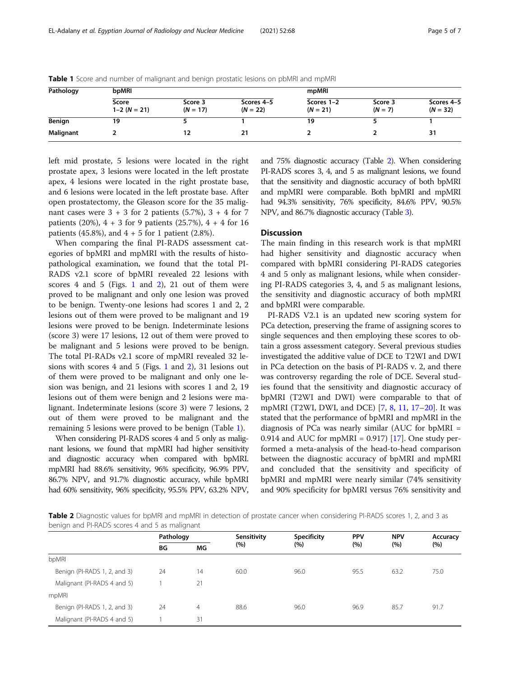| Pathology | bpMRI                   |                       |                          | mpMRI                    |                      |                          |  |
|-----------|-------------------------|-----------------------|--------------------------|--------------------------|----------------------|--------------------------|--|
|           | Score<br>$1-2 (N = 21)$ | Score 3<br>$(N = 17)$ | Scores 4-5<br>$(N = 22)$ | Scores 1-2<br>$(N = 21)$ | Score 3<br>$(N = 7)$ | Scores 4-5<br>$(N = 32)$ |  |
| Benign    | 19                      |                       |                          | 19                       |                      |                          |  |
| Malignant |                         | 12                    | 21                       |                          |                      | 31                       |  |

Table 1 Score and number of malignant and benign prostatic lesions on pbMRI and mpMRI

left mid prostate, 5 lesions were located in the right prostate apex, 3 lesions were located in the left prostate apex, 4 lesions were located in the right prostate base, and 6 lesions were located in the left prostate base. After open prostatectomy, the Gleason score for the 35 malignant cases were  $3 + 3$  for 2 patients (5.7%),  $3 + 4$  for 7 patients (20%),  $4 + 3$  for 9 patients (25.7%),  $4 + 4$  for 16 patients (45.8%), and  $4 + 5$  for 1 patient (2.8%).

When comparing the final PI-RADS assessment categories of bpMRI and mpMRI with the results of histopathological examination, we found that the total PI-RADS v2.1 score of bpMRI revealed 22 lesions with scores 4 and 5 (Figs. [1](#page-2-0) and [2](#page-3-0)), 21 out of them were proved to be malignant and only one lesion was proved to be benign. Twenty-one lesions had scores 1 and 2, 2 lesions out of them were proved to be malignant and 19 lesions were proved to be benign. Indeterminate lesions (score 3) were 17 lesions, 12 out of them were proved to be malignant and 5 lesions were proved to be benign. The total PI-RADs v2.1 score of mpMRI revealed 32 lesions with scores 4 and 5 (Figs. [1](#page-2-0) and [2\)](#page-3-0), 31 lesions out of them were proved to be malignant and only one lesion was benign, and 21 lesions with scores 1 and 2, 19 lesions out of them were benign and 2 lesions were malignant. Indeterminate lesions (score 3) were 7 lesions, 2 out of them were proved to be malignant and the remaining 5 lesions were proved to be benign (Table 1).

When considering PI-RADS scores 4 and 5 only as malignant lesions, we found that mpMRI had higher sensitivity and diagnostic accuracy when compared with bpMRI. mpMRI had 88.6% sensitivity, 96% specificity, 96.9% PPV, 86.7% NPV, and 91.7% diagnostic accuracy, while bpMRI had 60% sensitivity, 96% specificity, 95.5% PPV, 63.2% NPV, and 75% diagnostic accuracy (Table 2). When considering PI-RADS scores 3, 4, and 5 as malignant lesions, we found that the sensitivity and diagnostic accuracy of both bpMRI and mpMRI were comparable. Both bpMRI and mpMRI had 94.3% sensitivity, 76% specificity, 84.6% PPV, 90.5% NPV, and 86.7% diagnostic accuracy (Table [3\)](#page-5-0).

#### **Discussion**

The main finding in this research work is that mpMRI had higher sensitivity and diagnostic accuracy when compared with bpMRI considering PI-RADS categories 4 and 5 only as malignant lesions, while when considering PI-RADS categories 3, 4, and 5 as malignant lesions, the sensitivity and diagnostic accuracy of both mpMRI and bpMRI were comparable.

PI-RADS V2.1 is an updated new scoring system for PCa detection, preserving the frame of assigning scores to single sequences and then employing these scores to obtain a gross assessment category. Several previous studies investigated the additive value of DCE to T2WI and DWI in PCa detection on the basis of PI-RADS v. 2, and there was controversy regarding the role of DCE. Several studies found that the sensitivity and diagnostic accuracy of bpMRI (T2WI and DWI) were comparable to that of mpMRI (T2WI, DWI, and DCE) [[7,](#page-6-0) [8,](#page-6-0) [11,](#page-6-0) [17](#page-6-0)–[20\]](#page-6-0). It was stated that the performance of bpMRI and mpMRI in the diagnosis of PCa was nearly similar (AUC for bpMRI = 0.914 and AUC for mpMRI = 0.917) [\[17\]](#page-6-0). One study performed a meta-analysis of the head-to-head comparison between the diagnostic accuracy of bpMRI and mpMRI and concluded that the sensitivity and specificity of bpMRI and mpMRI were nearly similar (74% sensitivity and 90% specificity for bpMRI versus 76% sensitivity and

Table 2 Diagnostic values for bpMRI and mpMRI in detection of prostate cancer when considering PI-RADS scores 1, 2, and 3 as benign and PI-RADS scores 4 and 5 as malignant

|                              | Pathology |    | Sensitivity | <b>Specificity</b> | <b>PPV</b> | <b>NPV</b> | Accuracy |
|------------------------------|-----------|----|-------------|--------------------|------------|------------|----------|
|                              | ΒG        | МG | (%)         | (%)                | (%)        | (%)        | (%)      |
| bpMRI                        |           |    |             |                    |            |            |          |
| Benign (PI-RADS 1, 2, and 3) | 24        | 14 | 60.0        | 96.0               | 95.5       | 63.2       | 75.0     |
| Malignant (PI-RADS 4 and 5)  |           | 21 |             |                    |            |            |          |
| mpMRI                        |           |    |             |                    |            |            |          |
| Benign (PI-RADS 1, 2, and 3) | 24        | 4  | 88.6        | 96.0               | 96.9       | 85.7       | 91.7     |
| Malignant (PI-RADS 4 and 5)  |           | 31 |             |                    |            |            |          |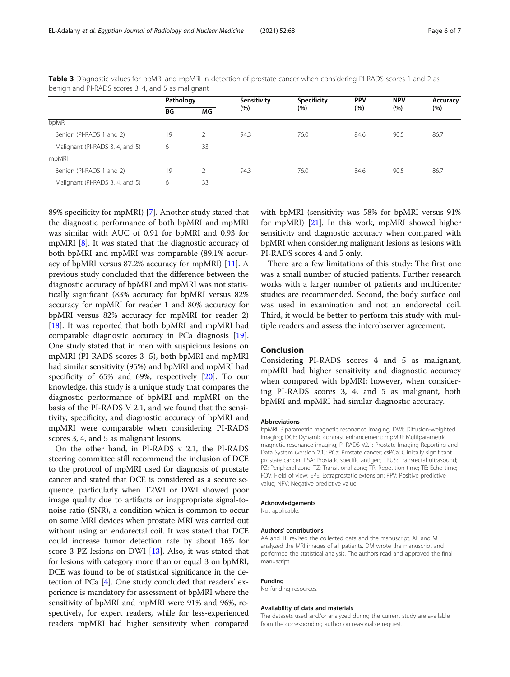|                                 | Pathology |    | Sensitivity | <b>Specificity</b> | <b>PPV</b> | <b>NPV</b> | Accuracy |
|---------------------------------|-----------|----|-------------|--------------------|------------|------------|----------|
|                                 | ВG        | МG | (%)         | $(\%)$             | (%)        | (%)        | (%)      |
| bpMRI                           |           |    |             |                    |            |            |          |
| Benign (PI-RADS 1 and 2)        | 19        | 2  | 94.3        | 76.0               | 84.6       | 90.5       | 86.7     |
| Malignant (PI-RADS 3, 4, and 5) | 6         | 33 |             |                    |            |            |          |
| mpMRI                           |           |    |             |                    |            |            |          |
| Benign (PI-RADS 1 and 2)        | 19        | 2  | 94.3        | 76.0               | 84.6       | 90.5       | 86.7     |
| Malignant (PI-RADS 3, 4, and 5) | 6         | 33 |             |                    |            |            |          |

<span id="page-5-0"></span>Table 3 Diagnostic values for bpMRI and mpMRI in detection of prostate cancer when considering PI-RADS scores 1 and 2 as benign and PI-RADS scores 3, 4, and 5 as malignant

89% specificity for mpMRI) [[7\]](#page-6-0). Another study stated that the diagnostic performance of both bpMRI and mpMRI was similar with AUC of 0.91 for bpMRI and 0.93 for mpMRI [[8\]](#page-6-0). It was stated that the diagnostic accuracy of both bpMRI and mpMRI was comparable (89.1% accuracy of bpMRI versus 87.2% accuracy for mpMRI) [\[11](#page-6-0)]. A previous study concluded that the difference between the diagnostic accuracy of bpMRI and mpMRI was not statistically significant (83% accuracy for bpMRI versus 82% accuracy for mpMRI for reader 1 and 80% accuracy for bpMRI versus 82% accuracy for mpMRI for reader 2) [[18\]](#page-6-0). It was reported that both bpMRI and mpMRI had comparable diagnostic accuracy in PCa diagnosis [[19](#page-6-0)]. One study stated that in men with suspicious lesions on mpMRI (PI-RADS scores 3–5), both bpMRI and mpMRI had similar sensitivity (95%) and bpMRI and mpMRI had specificity of 65% and 69%, respectively [[20](#page-6-0)]. To our knowledge, this study is a unique study that compares the diagnostic performance of bpMRI and mpMRI on the basis of the PI-RADS V 2.1, and we found that the sensitivity, specificity, and diagnostic accuracy of bpMRI and mpMRI were comparable when considering PI-RADS scores 3, 4, and 5 as malignant lesions.

On the other hand, in PI-RADS v 2.1, the PI-RADS steering committee still recommend the inclusion of DCE to the protocol of mpMRI used for diagnosis of prostate cancer and stated that DCE is considered as a secure sequence, particularly when T2WI or DWI showed poor image quality due to artifacts or inappropriate signal-tonoise ratio (SNR), a condition which is common to occur on some MRI devices when prostate MRI was carried out without using an endorectal coil. It was stated that DCE could increase tumor detection rate by about 16% for score 3 PZ lesions on DWI [\[13\]](#page-6-0). Also, it was stated that for lesions with category more than or equal 3 on bpMRI, DCE was found to be of statistical significance in the detection of PCa [[4](#page-6-0)]. One study concluded that readers' experience is mandatory for assessment of bpMRI where the sensitivity of bpMRI and mpMRI were 91% and 96%, respectively, for expert readers, while for less-experienced readers mpMRI had higher sensitivity when compared with bpMRI (sensitivity was 58% for bpMRI versus 91% for mpMRI) [\[21\]](#page-6-0). In this work, mpMRI showed higher sensitivity and diagnostic accuracy when compared with bpMRI when considering malignant lesions as lesions with PI-RADS scores 4 and 5 only.

There are a few limitations of this study: The first one was a small number of studied patients. Further research works with a larger number of patients and multicenter studies are recommended. Second, the body surface coil was used in examination and not an endorectal coil. Third, it would be better to perform this study with multiple readers and assess the interobserver agreement.

#### Conclusion

Considering PI-RADS scores 4 and 5 as malignant, mpMRI had higher sensitivity and diagnostic accuracy when compared with bpMRI; however, when considering PI-RADS scores 3, 4, and 5 as malignant, both bpMRI and mpMRI had similar diagnostic accuracy.

#### Abbreviations

bpMRI: Biparametric magnetic resonance imaging; DWI: Diffusion-weighted imaging; DCE: Dynamic contrast enhancement; mpMRI: Multiparametric magnetic resonance imaging; PI-RADS V2.1: Prostate Imaging Reporting and Data System (version 2.1); PCa: Prostate cancer; csPCa: Clinically significant prostate cancer; PSA: Prostatic specific antigen; TRUS: Transrectal ultrasound; PZ: Peripheral zone; TZ: Transitional zone; TR: Repetition time; TE: Echo time; FOV: Field of view; EPE: Extraprostatic extension; PPV: Positive predictive value; NPV: Negative predictive value

#### Acknowledgements

Not applicable.

#### Authors' contributions

AA and TE revised the collected data and the manuscript. AE and ME analyzed the MRI images of all patients. DM wrote the manuscript and performed the statistical analysis. The authors read and approved the final manuscript.

#### Funding

No funding resources.

#### Availability of data and materials

The datasets used and/or analyzed during the current study are available from the corresponding author on reasonable request.